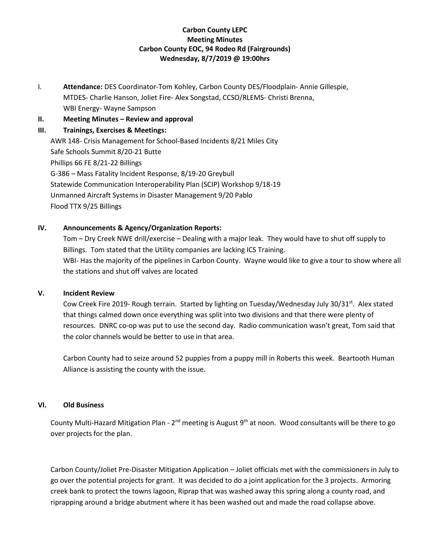# **Carbon County LEPC Meeting Minutes Carbon County EOC, 94 Rodeo Rd (Fairgrounds) Wednesday, 8/7/2019 @ 19:00hrs**

I. **Attendance:** DES Coordinator-Tom Kohley, Carbon County DES/Floodplain- Annie Gillespie, MTDES- Charlie Hanson, Joliet Fire- Alex Songstad, CCSO/RLEMS- Christi Brenna, WBI Energy- Wayne Sampson

**II.** Meeting Minutes – Review and approval

## **III. Trainings, Exercises & Meetings:**

AWR 148- Crisis Management for School-Based Incidents 8/21 Miles City Safe Schools Summit 8/20-21 Butte Phillips 66 FE 8/21-22 Billings G-386 – Mass Fatality Incident Response, 8/19-20 Greybull Statewide Communication Interoperability Plan (SCIP) Workshop 9/18-19 Unmanned Aircraft Systems in Disaster Management 9/20 Pablo Flood TTX 9/25 Billings

## **IV. Announcements & Agency/Organization Reports:**

Tom – Dry Creek NWE drill/exercise – Dealing with a major leak. They would have to shut off supply to Billings. Tom stated that the Utility companies are lacking ICS Training. WBI- Has the majority of the pipelines in Carbon County. Wayne would like to give a tour to show where all the stations and shut off valves are located

## **V. Incident Review**

Cow Creek Fire 2019- Rough terrain. Started by lighting on Tuesday/Wednesday July 30/31<sup>st</sup>. Alex stated that things calmed down once everything was split into two divisions and that there were plenty of resources. DNRC co-op was put to use the second day. Radio communication wasn't great, Tom said that the color channels would be better to use in that area.

Carbon County had to seize around 52 puppies from a puppy mill in Roberts this week. Beartooth Human Alliance is assisting the county with the issue.

## **VI. Old Business**

County Multi-Hazard Mitigation Plan - 2<sup>nd</sup> meeting is August 9<sup>th</sup> at noon. Wood consultants will be there to go over projects for the plan.

Carbon County/Joliet Pre-Disaster Mitigation Application – Joliet officials met with the commissioners in July to go over the potential projects for grant. It was decided to do a joint application for the 3 projects. Armoring creek bank to protect the towns lagoon, Riprap that was washed away this spring along a county road, and riprapping around a bridge abutment where it has been washed out and made the road collapse above.